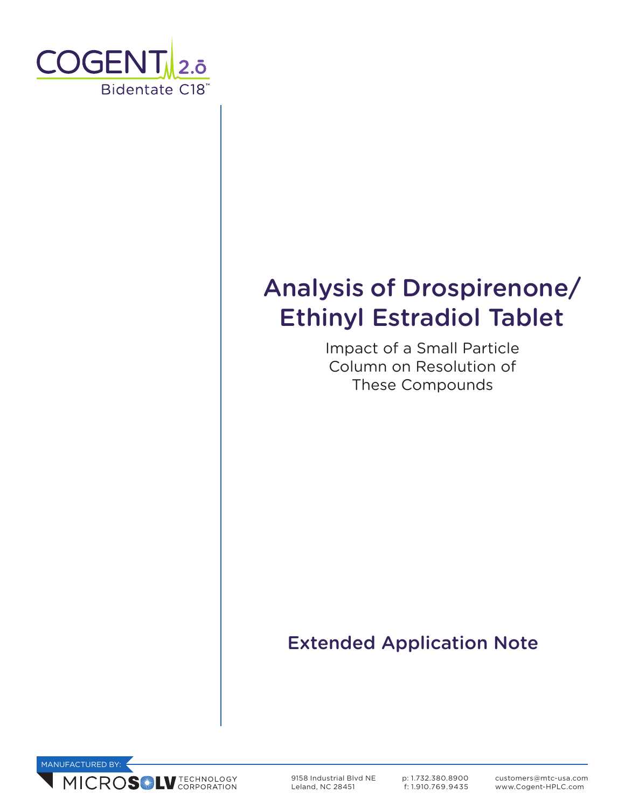

# Analysis of Drospirenone/ Ethinyl Estradiol Tablet

Impact of a Small Particle Column on Resolution of These Compounds

# Extended Application Note



9158 Industrial Blvd NE Leland, NC 28451

p: 1.732.380.8900 f: 1.910.769.9435 customers@mtc-usa.com www.Cogent-HPLC.com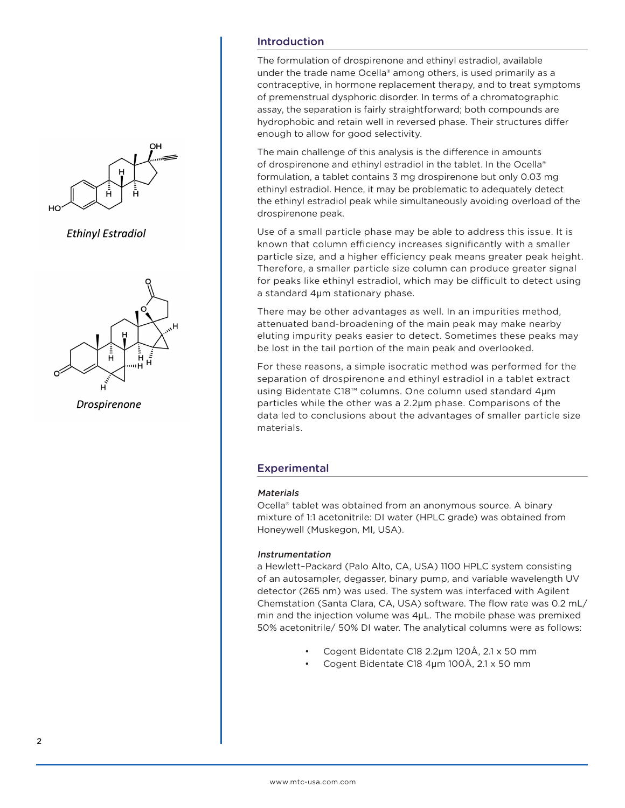

**Ethinyl Estradiol** 



Drospirenone

# Introduction

The formulation of drospirenone and ethinyl estradiol, available under the trade name Ocella® among others, is used primarily as a contraceptive, in hormone replacement therapy, and to treat symptoms of premenstrual dysphoric disorder. In terms of a chromatographic assay, the separation is fairly straightforward; both compounds are hydrophobic and retain well in reversed phase. Their structures differ enough to allow for good selectivity.

The main challenge of this analysis is the difference in amounts of drospirenone and ethinyl estradiol in the tablet. In the Ocella® formulation, a tablet contains 3 mg drospirenone but only 0.03 mg ethinyl estradiol. Hence, it may be problematic to adequately detect the ethinyl estradiol peak while simultaneously avoiding overload of the drospirenone peak.

Use of a small particle phase may be able to address this issue. It is known that column efficiency increases significantly with a smaller particle size, and a higher efficiency peak means greater peak height. Therefore, a smaller particle size column can produce greater signal for peaks like ethinyl estradiol, which may be difficult to detect using a standard 4μm stationary phase.

There may be other advantages as well. In an impurities method, attenuated band-broadening of the main peak may make nearby eluting impurity peaks easier to detect. Sometimes these peaks may be lost in the tail portion of the main peak and overlooked.

For these reasons, a simple isocratic method was performed for the separation of drospirenone and ethinyl estradiol in a tablet extract using Bidentate C18™ columns. One column used standard 4μm particles while the other was a 2.2μm phase. Comparisons of the data led to conclusions about the advantages of smaller particle size materials.

# **Experimental**

#### **Materials**

Ocella® tablet was obtained from an anonymous source. A binary mixture of 1:1 acetonitrile: DI water (HPLC grade) was obtained from Honeywell (Muskegon, MI, USA).

## Instrumentation

a Hewlett–Packard (Palo Alto, CA, USA) 1100 HPLC system consisting of an autosampler, degasser, binary pump, and variable wavelength UV detector (265 nm) was used. The system was interfaced with Agilent Chemstation (Santa Clara, CA, USA) software. The flow rate was 0.2 mL/ min and the injection volume was 4μL. The mobile phase was premixed 50% acetonitrile/ 50% DI water. The analytical columns were as follows:

- Cogent Bidentate C18 2.2μm 120Å, 2.1 x 50 mm
- Cogent Bidentate C18 4μm 100Å, 2.1 x 50 mm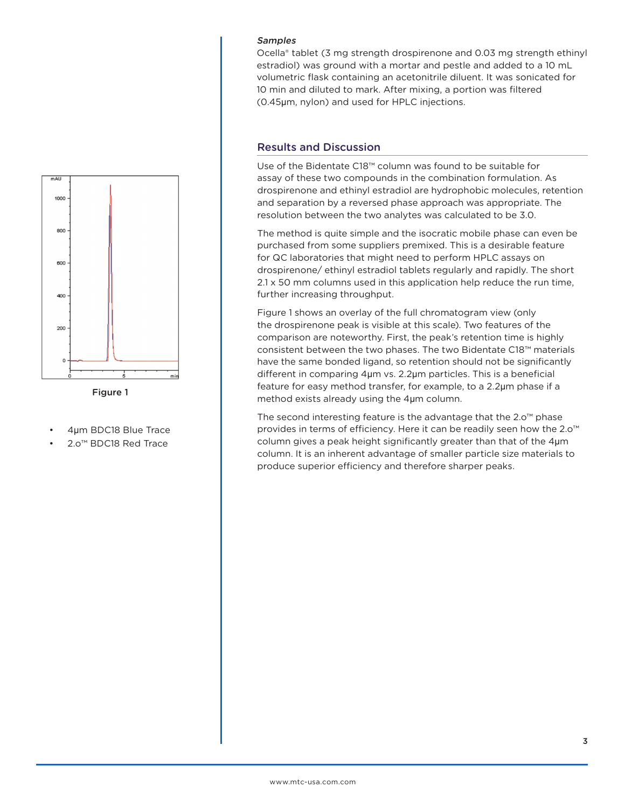

Figure 1

- 4μm BDC18 Blue Trace
- 2.o™ BDC18 Red Trace

#### Samples

Ocella® tablet (3 mg strength drospirenone and 0.03 mg strength ethinyl estradiol) was ground with a mortar and pestle and added to a 10 mL volumetric flask containing an acetonitrile diluent. It was sonicated for 10 min and diluted to mark. After mixing, a portion was filtered (0.45μm, nylon) and used for HPLC injections.

### Results and Discussion

Use of the Bidentate C18™ column was found to be suitable for assay of these two compounds in the combination formulation. As drospirenone and ethinyl estradiol are hydrophobic molecules, retention and separation by a reversed phase approach was appropriate. The resolution between the two analytes was calculated to be 3.0.

The method is quite simple and the isocratic mobile phase can even be purchased from some suppliers premixed. This is a desirable feature for QC laboratories that might need to perform HPLC assays on drospirenone/ ethinyl estradiol tablets regularly and rapidly. The short 2.1 x 50 mm columns used in this application help reduce the run time, further increasing throughput.

Figure 1 shows an overlay of the full chromatogram view (only the drospirenone peak is visible at this scale). Two features of the comparison are noteworthy. First, the peak's retention time is highly consistent between the two phases. The two Bidentate C18™ materials have the same bonded ligand, so retention should not be significantly different in comparing 4μm vs. 2.2μm particles. This is a beneficial feature for easy method transfer, for example, to a 2.2μm phase if a method exists already using the 4μm column.

The second interesting feature is the advantage that the 2.o™ phase provides in terms of efficiency. Here it can be readily seen how the 2.o<sup>™</sup> column gives a peak height significantly greater than that of the 4μm column. It is an inherent advantage of smaller particle size materials to produce superior efficiency and therefore sharper peaks.